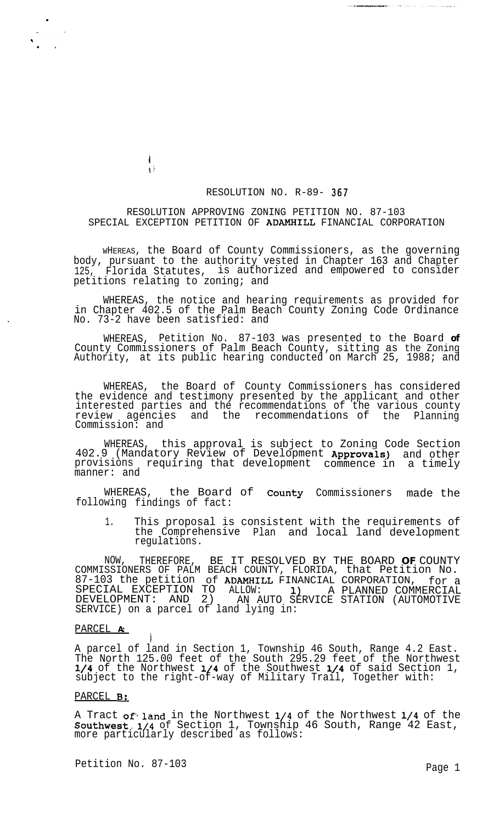## RESOLUTION NO. R-89- 367

## RESOLUTION APPROVING ZONING PETITION NO. 87-103 SPECIAL EXCEPTION PETITION OF ADAMHILL FINANCIAL CORPORATION

 $\mathbf{I}$ Ŵ

WHEREAS, the Board of County Commissioners, as the governing body, pursuant to the authority vested in Chapter 163 and Chapter 125, Florida Statutes, is authorized and empowered to consider petitions relating to zoning; and

WHEREAS, the notice and hearing requirements as provided for in Chapter 402.5 of the Palm Beach County Zoning Code Ordinance No. 73-2 have been satisfied: and

WHEREAS, Petition No. 87-103 was presented to the Board **of** County Commissioners of Palm Beach County, sitting as the Zoning Authority, at its public hearing conducted on March 25, 1988; and

WHEREAS, the Board of County Commissioners has considered the evidence and testimony presented by the applicant and other interested parties and the recommendations of the various county review agencies and the recommendations of the Planning Commission: and

WHEREAS, this approval is subject to Zoning Code Section 402.9 (Mandatory Review of Development Approvals) provisions requiring that development commence in manner: and and other a timely

WHEREAS, the Board of **County** Commissioners made the following findings of fact:

1. This proposal is consistent with the requirements of the Comprehensive Plan and local land development regulations.

NOW, THEREFORE, BE IT RESOLVED BY THE BOARD **OF** COUNTY COMMISSIONERS OF PALM BEACH COUNTY, FLORIDA, that Petition No. 87-103 the petition of ADAMHILL FINANCIAL CORPORATION, for a SPECIAL EXCEPTION TO ALLOW: 1) A PLANNED COMMERCIAL DEVELOPMENT: AND 2) AN AUTO SERVICE STATION (AUTOMOTIVE SERVICE) on a parcel of land lying in:

## PARCEL **A:**

.

,  $\cdot$   $\cdot$ 

> A parcel of land in Section 1, Township 46 South, Range 4.2 East. The North 125.00 feet of the South 295.29 feet of the Northwest l/4 of the Northwest l/4 of the Southwest l/4 of said Section 1, subject to the right-of-way of Military Trail, Together with:

## PARCEL **B**:

A Tract of land in the Northwest 1/4 of the Northwest 1/4 of the Southwest.1/4 of Section 1, Township 46 South, Range 42 East, more particularly described as follows:

Petition No. 87-103 Page 1

 $\mathbf{1}$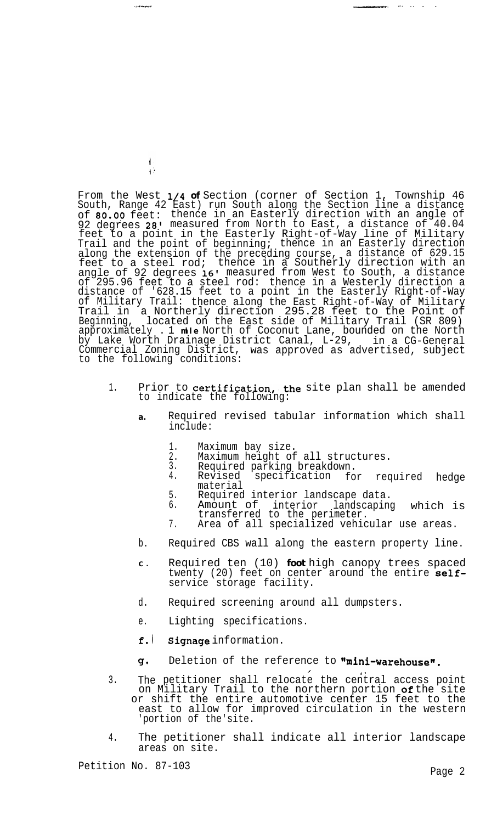From the West l/4 **of** Section (corner of Section 1, Township 46 South, Range 42 East) run South along the Section line a distance of 80.08 feet: thence in an Easterly direction with an angle of 92 degrees 28' measured from North to East, a distance of 40.04 feet to a point in the Easterly Right-of-Way line of Military Trail and the point of beginning; thence in an Easterly direction along the extension of the preceding course, a distance of 629.15 feet to a steel rod; thence in a Southerly direction with an angle of 92 degrees 16' measured from West to South, a distance of 295.96 feet to a steel rod: thence in a Westerly direction a distance of '628.15 feet to a point in the Easterly Right-of-Way of Military Trail: Trail in thence along the East Right-of-Way of Military a Northerly direction 295.28 feet to the Point of Beginning, located on the East side of Military Trail (SR 809) approximately . 1 **mile** North of Coconut Lane, bounded on the North by Lake Worth Drainage District Canal, L-29, in a CG-General Commercial Zoning District, to the following conditions: was approved as advertised, subject

- 1. Prior to **certification, the** site plan shall be amended to indicate the following:
	- **a.** Required revised tabular information which shall include:
		- 1. Maximum bay size.<br>2. Maximum height of
		- 2. Maximum height of all structures.<br>3. Required parking breakdown.
			-
		- 3. Required parking breakdown.<br>4. Revised specification for specification material required hedge

...-m-. ,,. ), ,- .,

- 5. Required interior landscape data.<br>6. Amount of interior landscaping
	- Amount of interior landscaping which is transferred to the perimeter.

 $\mathcal{L}$  defined by  $\mathcal{L}$ 

- 7. Area of all specialized vehicular use areas.
- b. Required CBS wall along the eastern property line.
- **C .** Required ten (10) **foot** high canopy trees spaced twenty (20) feet on center around the entire  $self$ service storage facility.
- d. Required screening around all dumpsters.
- e. Lighting specifications.
- f.l Signage information.
- cl\* Deletion of the reference to "mini-warehouse".
- 3. The The petitioner shall relocate the central access point<br>on Military Trail to the northern portion **of**the site or shift the entire automotive center 15 feet to the east to allow for improved circulation in the western 'portion of the'site.
- 4. The petitioner shall indicate all interior landscape areas on site.

**LONGOROU** 

 $\mathbf{I}$ Ĥ.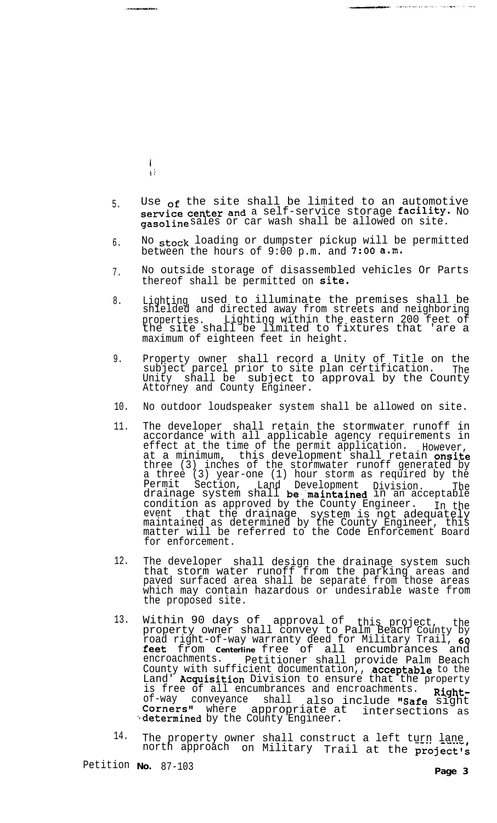- $\frac{1}{1}$
- 5. Use <sub>of</sub> the site shall be limited to an automotive service center and a self-service storage facility. No **gasoline** sales or car wash shall be allowed on site.
- 6. No stock loading or dumpster pickup will be permitted between the hours of  $9:00$  p.m. and  $\overline{7:00}$  a.m.
- 7. No outside storage of disassembled vehicles Or Parts thereof shall be permitted on site.
- 8. Lighting used to illuminate the premises shall be shielded and directed away from streets and neighboring properties. Lighting within the eastern 200 feet of the site shall be limited to fixtures that 'are a maximum of eighteen feet in height.
- 9. Property owner shall record a Unity of Title on the subject parcel prior to site plan certification. The Unity shall be subject to approval by the County Attorney and County Engineer.
- 10. No outdoor loudspeaker system shall be allowed on site.
- 11. The developer shall retain the stormwater runoff in accordance with all applicable agency requirements in effect at the time of the permit application. However, at a minimum, this development shall retain onsite three (3) inches of the stormwater runoff generated by a three (3) year-one (1) hour storm as required by the Permit Section, Land Development Division. The<br>drainage system shall **be maintained** in an acceptable condition as approved by the County Engineer. In the event that the drainage system is not adequately maintained as determined by the County Engineer, this matter will be referred to the Code Enforcement Board for enforcement.
- 12. The developer shall design the drainage system such that storm water runoff from the parking areas and paved surfaced area shall be separate from those areas which may contain hazardous or undesirable waste from the proposed site.
- 13. Corners" where appropriate at intersections as<br>'determined by the County Engineer. Within 90 days of approval of this project, the<br>property owner shall convey to Palm Beach County by road right-of-way warranty deed for Military Trail, 60 feet from **Centerline** free of all encumbrances and encroachments. petitioner shall provide Palm Beach Petitioner shall provide Palm Beach County with sufficient documentation,, acceptable to the Land' Acquisition Division to ensure that the property is free of all encumbrances and encroachments. is free of all encumbrances and encroachments. **Right-**<br>of-way conveyance shall also include **"Safe** sight Corners" where also include "Safe sight appropriate at
- 14. The property owner shall construct a left turn lane. north approach on Military Trail at the project's

Petition **No.** 87-103

.<br>Militarda - La La Polo de La Partida de La La Provincia de La La Partida de La La La La La La La La La La La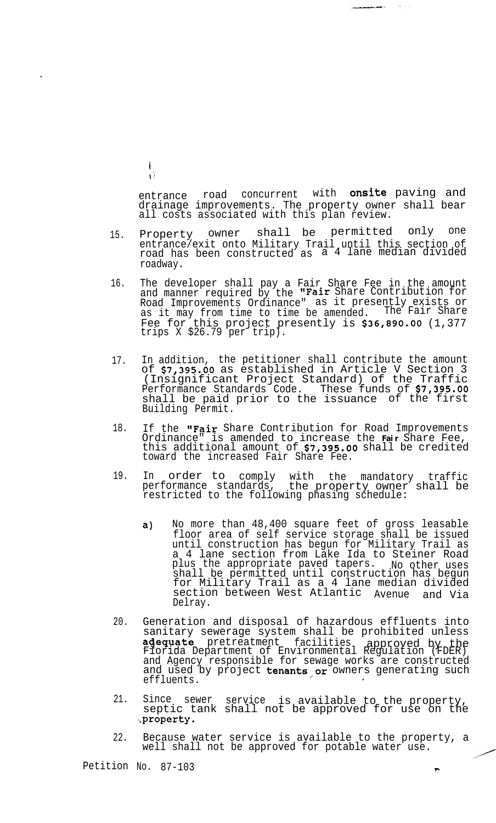$\overline{1}$  $\hat{V}$ 

entrance road concurrent with onsite paving and drainage improvements. The property owner shall bear all costs associated with this plan review.

 $\sim 10^{-1}$  and  $\sim 10^{-1}$ 

**Continued in the continued of the Continued State** 

- 15. Property owner shall be permitted only one entrance/exit onto Military Trail until this section of road has been constructed as a 4 lane median divided roadway.
- 16. The developer shall pay a Fair Share Fee in the amount and manner required by the "Fair Share Contribution for Road Improvements Ordinance" as it presently exists or as it may from time to time be amended. The Fair Share Fee for this project presently is \$36,890.00 (1,377 trips X \$26.79 per trip).
- 17. In addition, the petitioner shall contribute the amount of \$7,395.00 as established in Article V Section 3 (Insignificant Project Standard) of the Traffic Performance Standards Code. These funds of \$7,395.00 shall be paid prior to the issuance of the first Building Permit.
- 18. If the "Fair Share Contribution for Road Improvements Ordinance" is amended to increase the **Fair** Share Fee, this additional amount of \$7,395.00 shall be credited toward the increased Fair Share Fee.
- 19. In order to comply with the mandatory traffic performance standards, the property owner shall be restricted to the following phasing schedule:
	- a) No more than 48,400 square feet of gross leasable floor area of self service storage shall be issued until construction has begun for Military Trail as a 4 lane section from Lake Ida to Steiner Road plus the appropriate paved tapers. No other uses shall be permitted until construction has begun for Military Trail as a 4 lane median divided section between West Atlantic Avenue and Via Delray.
- 20. Generation and disposal of hazardous effluents into sanitary sewerage system shall be prohibited unless adequate pretreatment facilities approved by the<br>Florida Department of Environmental Regulation (FDER) and Agency responsible for sewage works are constructed and used by project tenants or owners generating such effluents.
- 21. Since sewer service is available to the property, septic tank shall not be approved for use on the .,property.
- 22. Because water service is available to the property, a well shall not be approved for potable water use.

Petition No. 87-103

<u>,</u>